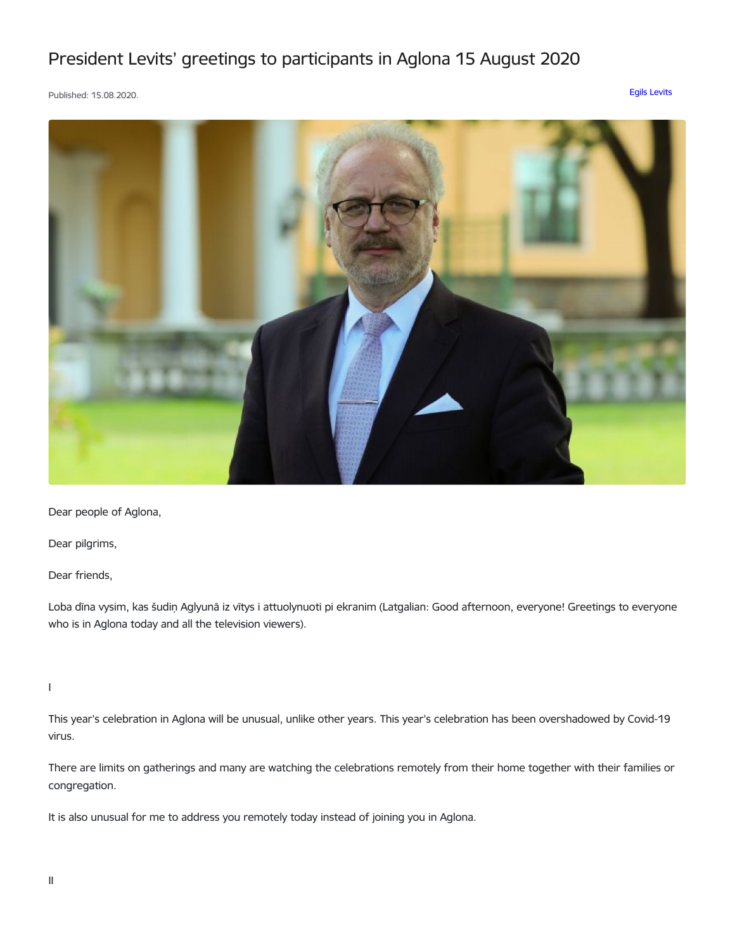## President Levits' greetings to participants in Aglona 15 August 2020

Published: 15.08.2020. Egils [Levits](https://www.president.lv/en/articles?category%255B276%255D=276)



Dear people of Aglona,

Dear pilgrims,

Dear friends,

Loba dīna vysim, kas šudiņ Aglyunā iz vītys i attuolynuoti pi ekranim (Latgalian: Good afternoon, everyone! Greetings to everyone who is in Aglona today and all the television viewers).

I

This year's celebration in Aglona will be unusual, unlike other years. This year's celebration has been overshadowed by Covid-19 virus.

There are limits on gatherings and many are watching the celebrations remotely from their home together with their families or congregation.

It is also unusual for me to address you remotely today instead of joining you in Aglona.